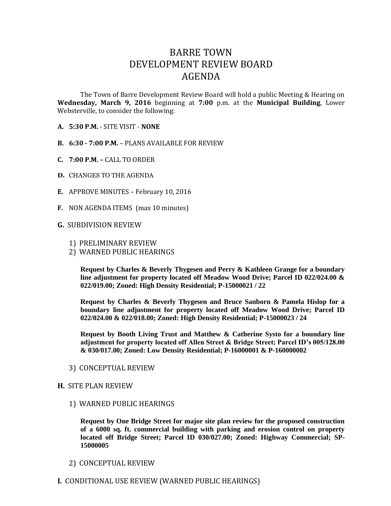## BARRE TOWN DEVELOPMENT REVIEW BOARD AGENDA

The Town of Barre Development Review Board will hold a public Meeting & Hearing on **Wednesday, March 9, 2016** beginning at **7:00** p.m. at the **Municipal Building**, Lower Websterville, to consider the following:

- **A. 5:30 P.M.** SITE VISIT **NONE**
- **B. 6:30 - 7:00 P.M.** PLANS AVAILABLE FOR REVIEW
- **C. 7:00 P.M. –** CALL TO ORDER
- **D.** CHANGES TO THE AGENDA
- **E.** APPROVE MINUTES February 10, 2016
- **F.** NON AGENDA ITEMS (max 10 minutes)

## **G.** SUBDIVISION REVIEW

- 1) PRELIMINARY REVIEW
- 2) WARNED PUBLIC HEARINGS

**Request by Charles & Beverly Thygesen and Perry & Kathleen Grange for a boundary line adjustment for property located off Meadow Wood Drive; Parcel ID 022/024.00 & 022/019.00; Zoned: High Density Residential; P-15000021 / 22**

**Request by Charles & Beverly Thygesen and Bruce Sanborn & Pamela Hislop for a boundary line adjustment for property located off Meadow Wood Drive; Parcel ID 022/024.00 & 022/018.00; Zoned: High Density Residential; P-15000023 / 24**

**Request by Booth Living Trust and Matthew & Catherine Systo for a boundary line adjustment for property located off Allen Street & Bridge Street; Parcel ID's 005/128.00 & 030/017.00; Zoned: Low Density Residential; P-16000001 & P-160000002**

3) CONCEPTUAL REVIEW

## **H.** SITE PLAN REVIEW

1) WARNED PUBLIC HEARINGS

**Request by One Bridge Street for major site plan review for the proposed construction of a 6000 sq. ft. commercial building with parking and erosion control on property located off Bridge Street; Parcel ID 030/027.00; Zoned: Highway Commercial; SP-15000005**

- 2) CONCEPTUAL REVIEW
- **I.** CONDITIONAL USE REVIEW (WARNED PUBLIC HEARINGS)